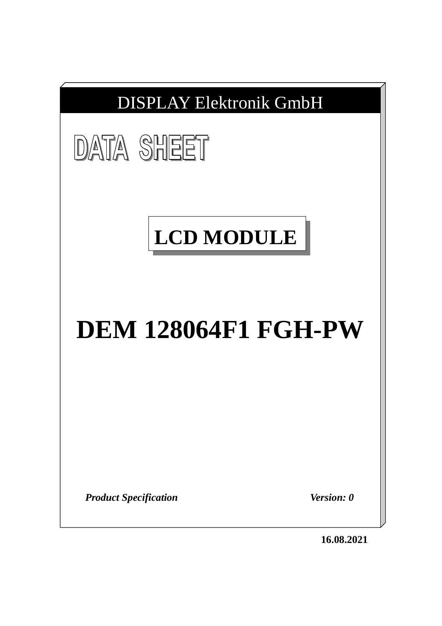



# **LCD MODULE**

# **DEM 128064F1 FGH-PW**

*Product Specification Version: 0*

**16.08.2021**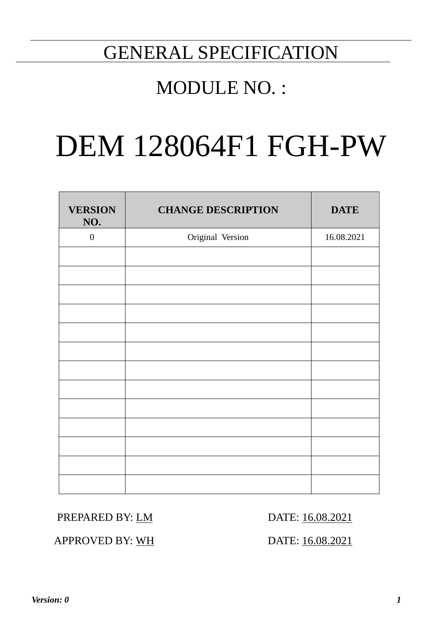# GENERAL SPECIFICATION

## MODULE NO. :

# DEM 128064F1 FGH-PW

| <b>VERSION</b><br>NO. | <b>CHANGE DESCRIPTION</b> | <b>DATE</b> |
|-----------------------|---------------------------|-------------|
| $\boldsymbol{0}$      | Original Version          | 16.08.2021  |
|                       |                           |             |
|                       |                           |             |
|                       |                           |             |
|                       |                           |             |
|                       |                           |             |
|                       |                           |             |
|                       |                           |             |
|                       |                           |             |
|                       |                           |             |
|                       |                           |             |
|                       |                           |             |
|                       |                           |             |
|                       |                           |             |

## PREPARED BY: LM DATE: 16.08.2021

APPROVED BY: WH DATE: 16.08.2021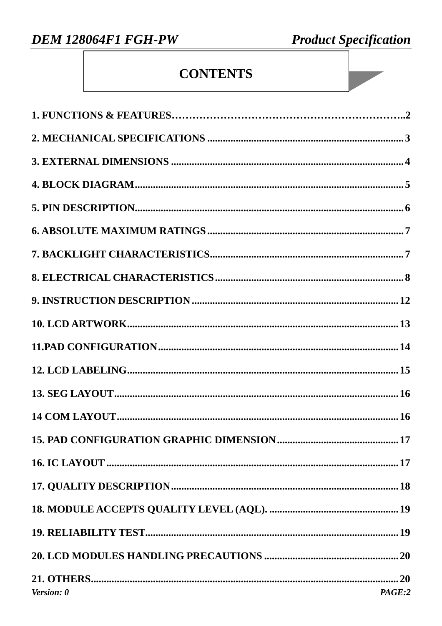**Product Specification** 

## **CONTENTS**

| Version: 0 | PAGE:2 |
|------------|--------|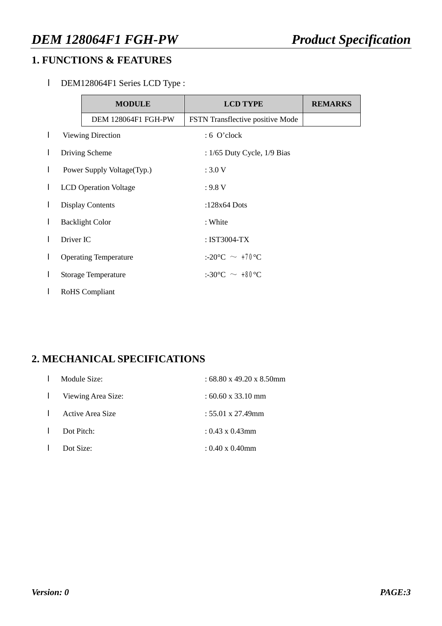## **1. FUNCTIONS & FEATURES**

l DEM128064F1 Series LCD Type :

|   |           | <b>MODULE</b>                | <b>LCD TYPE</b>                         | <b>REMARKS</b> |
|---|-----------|------------------------------|-----------------------------------------|----------------|
|   |           | DEM 128064F1 FGH-PW          | FSTN Transflective positive Mode        |                |
| L |           | <b>Viewing Direction</b>     | $: 6$ O'clock                           |                |
|   |           | Driving Scheme               | : $1/65$ Duty Cycle, $1/9$ Bias         |                |
| L |           | Power Supply Voltage (Typ.)  | :3.0V                                   |                |
| L |           | <b>LCD</b> Operation Voltage | : 9.8 V                                 |                |
| L |           | <b>Display Contents</b>      | :128 $x64$ Dots                         |                |
| L |           | <b>Backlight Color</b>       | : White                                 |                |
|   | Driver IC |                              | : IST3004-TX                            |                |
| L |           | <b>Operating Temperature</b> | :-20 $\degree$ C $\sim$ +70 $\degree$ C |                |
|   |           | <b>Storage Temperature</b>   | $:30^{\circ}$ C $\sim$ +80 $^{\circ}$ C |                |
|   |           | <b>RoHS</b> Compliant        |                                         |                |

## **2. MECHANICAL SPECIFICATIONS**

|                | Module Size:                | : 68.80 x 49.20 x 8.50mm         |
|----------------|-----------------------------|----------------------------------|
|                | <b>I</b> Viewing Area Size: | $:60.60 \times 33.10 \text{ mm}$ |
| $\mathbf{I}$   | Active Area Size            | $: 55.01 \times 27.49$ mm        |
| $\blacksquare$ | Dot Pitch:                  | $: 0.43 \times 0.43$ mm          |
|                | Dot Size:                   | $: 0.40 \times 0.40$ mm          |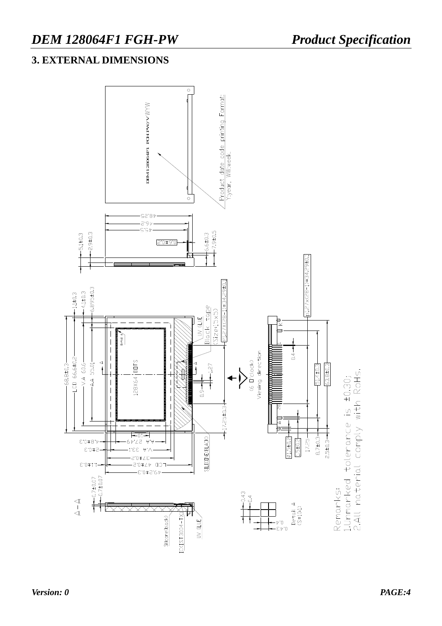## **3. EXTERNAL DIMENSIONS**

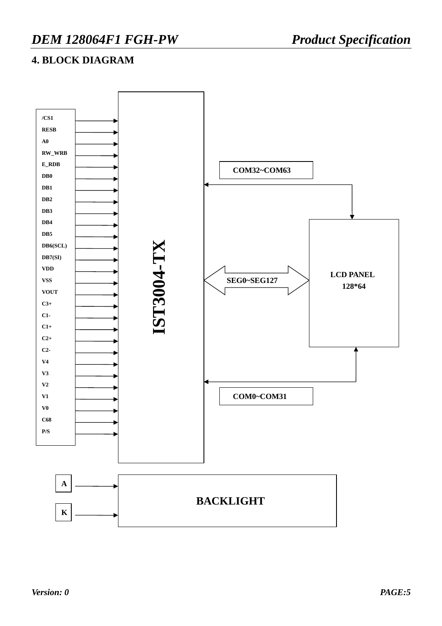## **4. BLOCK DIAGRAM**

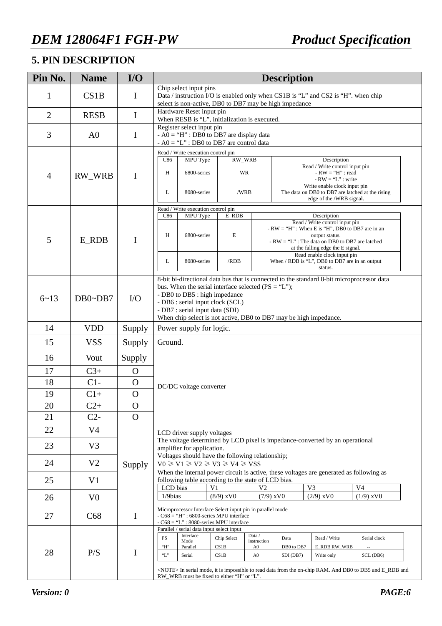## **5. PIN DESCRIPTION**

| Pin No.        | <b>Name</b>    | I/O           | <b>Description</b>        |                                                                                                                                                                                                                                                                                                                                   |                                                                                                                                                  |                                               |                                 |                                                                                                                                                                                                                |                                     |  |  |  |
|----------------|----------------|---------------|---------------------------|-----------------------------------------------------------------------------------------------------------------------------------------------------------------------------------------------------------------------------------------------------------------------------------------------------------------------------------|--------------------------------------------------------------------------------------------------------------------------------------------------|-----------------------------------------------|---------------------------------|----------------------------------------------------------------------------------------------------------------------------------------------------------------------------------------------------------------|-------------------------------------|--|--|--|
| 1              | CS1B           | $\bf{I}$      |                           | Chip select input pins<br>Data / instruction I/O is enabled only when CS1B is "L" and CS2 is "H". when chip<br>select is non-active, DB0 to DB7 may be high impedance                                                                                                                                                             |                                                                                                                                                  |                                               |                                 |                                                                                                                                                                                                                |                                     |  |  |  |
| $\overline{2}$ | <b>RESB</b>    | $\bf{I}$      |                           | Hardware Reset input pin                                                                                                                                                                                                                                                                                                          | When RESB is "L", initialization is executed.                                                                                                    |                                               |                                 |                                                                                                                                                                                                                |                                     |  |  |  |
| 3              | A <sub>0</sub> | $\bf{I}$      |                           | Register select input pin                                                                                                                                                                                                                                                                                                         | $- AO = "H" : DB0 to DB7 are display data$<br>$- AO = "L"$ : DB0 to DB7 are control data                                                         |                                               |                                 |                                                                                                                                                                                                                |                                     |  |  |  |
|                |                |               |                           | Read / Write execution control pin                                                                                                                                                                                                                                                                                                |                                                                                                                                                  |                                               |                                 |                                                                                                                                                                                                                |                                     |  |  |  |
| $\overline{4}$ | <b>RW WRB</b>  | $\mathbf I$   | C86<br>Н                  | MPU Type<br>6800-series                                                                                                                                                                                                                                                                                                           |                                                                                                                                                  | RW_WRB<br><b>WR</b>                           |                                 | Description<br>Read / Write control input pin<br>$-RW = "H" : read$<br>$-RW = 'L'': write$                                                                                                                     |                                     |  |  |  |
|                |                |               | L                         | 8080-series                                                                                                                                                                                                                                                                                                                       |                                                                                                                                                  | /WRB                                          |                                 | Write enable clock input pin<br>The data on DB0 to DB7 are latched at the rising<br>edge of the /WRB signal.                                                                                                   |                                     |  |  |  |
|                |                |               |                           | Read / Write execution control pin                                                                                                                                                                                                                                                                                                |                                                                                                                                                  |                                               |                                 |                                                                                                                                                                                                                |                                     |  |  |  |
| 5              | $E_RDB$        | $\mathbf I$   | C86<br>Η                  | MPU Type<br>6800-series                                                                                                                                                                                                                                                                                                           | E_RDB<br>$\mathbf E$                                                                                                                             |                                               |                                 | Description<br>Read / Write control input pin<br>$-RW = "H"$ : When E is "H", DB0 to DB7 are in an<br>output status.<br>- $RW = 'L'':$ The data on DB0 to DB7 are latched<br>at the falling edge the E signal. |                                     |  |  |  |
|                |                |               | L                         | 8080-series                                                                                                                                                                                                                                                                                                                       | /RDB                                                                                                                                             |                                               |                                 | Read enable clock input pin<br>When / RDB is "L", DB0 to DB7 are in an output<br>status.                                                                                                                       |                                     |  |  |  |
| $6 - 13$       | $DB0\neg DB7$  | $\rm LO$      |                           | 8-bit bi-directional data bus that is connected to the standard 8-bit microprocessor data<br>bus. When the serial interface selected ( $PS = "L"$ );<br>- DB0 to DB5 : high impedance<br>- DB6 : serial input clock (SCL)<br>- DB7 : serial input data (SDI)<br>When chip select is not active, DB0 to DB7 may be high impedance. |                                                                                                                                                  |                                               |                                 |                                                                                                                                                                                                                |                                     |  |  |  |
| 14             | <b>VDD</b>     | Supply        |                           | Power supply for logic.                                                                                                                                                                                                                                                                                                           |                                                                                                                                                  |                                               |                                 |                                                                                                                                                                                                                |                                     |  |  |  |
| 15             | <b>VSS</b>     | Supply        |                           | Ground.                                                                                                                                                                                                                                                                                                                           |                                                                                                                                                  |                                               |                                 |                                                                                                                                                                                                                |                                     |  |  |  |
| 16             | Vout           | Supply        |                           |                                                                                                                                                                                                                                                                                                                                   |                                                                                                                                                  |                                               |                                 |                                                                                                                                                                                                                |                                     |  |  |  |
| 17             | $C3+$          | O             |                           |                                                                                                                                                                                                                                                                                                                                   |                                                                                                                                                  |                                               |                                 |                                                                                                                                                                                                                |                                     |  |  |  |
| 18             | $C1-$          | $\mathbf O$   |                           | DC/DC voltage converter                                                                                                                                                                                                                                                                                                           |                                                                                                                                                  |                                               |                                 |                                                                                                                                                                                                                |                                     |  |  |  |
| 19             | $C1+$          | $\mathbf O$   |                           |                                                                                                                                                                                                                                                                                                                                   |                                                                                                                                                  |                                               |                                 |                                                                                                                                                                                                                |                                     |  |  |  |
| 20             | $C2+$          | $\mathcal{O}$ |                           |                                                                                                                                                                                                                                                                                                                                   |                                                                                                                                                  |                                               |                                 |                                                                                                                                                                                                                |                                     |  |  |  |
| 21             | $C2-$          | $\Omega$      |                           |                                                                                                                                                                                                                                                                                                                                   |                                                                                                                                                  |                                               |                                 |                                                                                                                                                                                                                |                                     |  |  |  |
| 22             | V <sub>4</sub> |               |                           | LCD driver supply voltages                                                                                                                                                                                                                                                                                                        |                                                                                                                                                  |                                               |                                 |                                                                                                                                                                                                                |                                     |  |  |  |
| 23             | V <sub>3</sub> |               |                           | amplifier for application.                                                                                                                                                                                                                                                                                                        |                                                                                                                                                  |                                               |                                 | The voltage determined by LCD pixel is impedance-converted by an operational                                                                                                                                   |                                     |  |  |  |
| 24             | V <sub>2</sub> | Supply        |                           |                                                                                                                                                                                                                                                                                                                                   | Voltages should have the following relationship;<br>$V0 \ge V1 \ge V2 \ge V3 \ge V4 \ge VSS$                                                     |                                               |                                 |                                                                                                                                                                                                                |                                     |  |  |  |
| 25             | V <sub>1</sub> |               |                           |                                                                                                                                                                                                                                                                                                                                   | following table according to the state of LCD bias.                                                                                              |                                               |                                 | When the internal power circuit is active, these voltages are generated as following as                                                                                                                        |                                     |  |  |  |
| 26             | V <sub>0</sub> |               | LCD bias<br>$1/9$ bias    |                                                                                                                                                                                                                                                                                                                                   | V1<br>$(8/9)$ xVO                                                                                                                                | V <sub>2</sub><br>$(7/9)$ xV $0$              |                                 | V <sub>3</sub><br>$(2/9)$ xVO                                                                                                                                                                                  | V <sub>4</sub><br>$(1/9)$ xVO       |  |  |  |
| 27             | C68            | $\bf{I}$      |                           |                                                                                                                                                                                                                                                                                                                                   | Microprocessor Interface Select input pin in parallel mode<br>- C68 = "H" : 6800-series MPU interface<br>- C68 = "L" : 8080-series MPU interface |                                               |                                 |                                                                                                                                                                                                                |                                     |  |  |  |
| 28             | P/S            | I             | PS<br>"H"<br>$\lq\lq L$ " | Parallel / serial data input select input<br>Interface<br>Mode<br>Parallel<br>Serial                                                                                                                                                                                                                                              | Chip Select<br>CS1B<br>CS1B<br>RW_WRB must be fixed to either "H" or "L".                                                                        | Data /<br>instruction<br>A <sub>0</sub><br>A0 | Data<br>DB0 to DB7<br>SDI (DB7) | Read / Write<br><b>E_RDB RW_WRB</b><br>Write only<br><note> In serial mode, it is impossible to read data from the on-chip RAM. And DB0 to DB5 and E_RDB and</note>                                            | Serial clock<br>$\sim$<br>SCL (DB6) |  |  |  |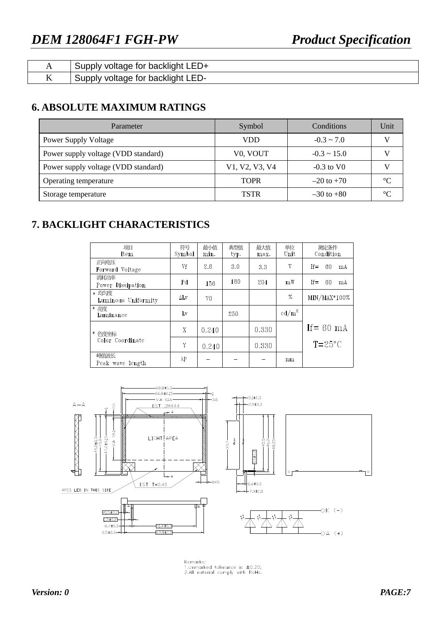|    | voltage for backlight LED+<br>supply ' |
|----|----------------------------------------|
| 17 | voltage for backlight LED-<br>Supply : |

## **6. ABSOLUTE MAXIMUM RATINGS**

| Parameter                           | Symbol                | Conditions               | Unit |
|-------------------------------------|-----------------------|--------------------------|------|
| <b>Power Supply Voltage</b>         | VDD                   | $-0.3 \sim 7.0$          |      |
| Power supply voltage (VDD standard) | V <sub>0</sub> , VOUT | $-0.3 \sim 15.0$         |      |
| Power supply voltage (VDD standard) | V1, V2, V3, V4        | $-0.3$ to V <sub>0</sub> |      |
| Operating temperature               | <b>TOPR</b>           | $-20$ to $+70$           |      |
| Storage temperature                 | <b>TSTR</b>           | $-30$ to $+80$           |      |

## **7. BACKLIGHT CHARACTERISTICS**

| 项目<br>Item                   | 符号<br>Symbol | 最小值<br>min. | 典型值<br>typ. | 最大值<br>max. | 单位<br>Unit        | 测定条件<br>Condition  |
|------------------------------|--------------|-------------|-------------|-------------|-------------------|--------------------|
| 正向电压<br>Forward Voltage      | Vf           | 2.6         | 3.0         | 3.3         | V                 | $If =$<br>60<br>mA |
| 消耗功率<br>Power Dissipation    | Pd           | 156         | 180         | 204         | mW                | $If =$<br>60<br>mA |
| * 均匀度<br>Luminous Uniformity | $\Delta$ Lv  | 70          |             |             | %                 | $MIN/MAX*100%$     |
| * 亮度<br>Luminance            | Lv           |             | 250         |             | cd/m <sup>2</sup> |                    |
| * 色度坐标                       | X            | 0.240       |             | 0.330       |                   | If $= 60$ mA       |
| Color Coordinate             | Y            | 0.240       |             | 0.330       |                   | $T = 25^{\circ}C$  |
| 峰值波长<br>Peak wave length     | $\lambda P$  |             |             |             | nm                |                    |



Remarks:<br>1.Unmarked tolerance is ±0.20;<br>2.All naterial comply with RoHs.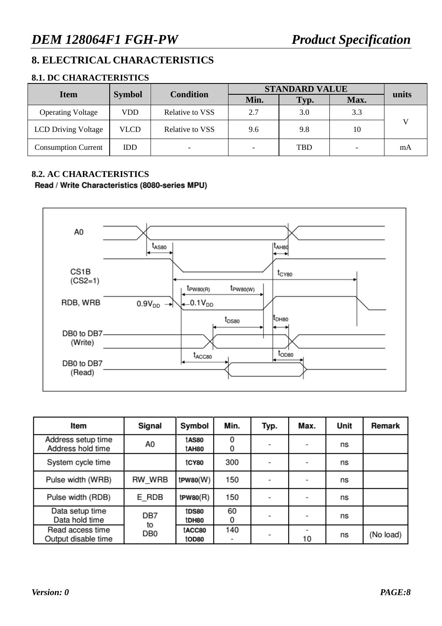## **8. ELECTRICAL CHARACTERISTICS**

#### **8.1. DC CHARACTERISTICS**

| <b>Item</b>                |               | <b>Condition</b> |                          | <b>STANDARD VALUE</b> |      |       |  |  |
|----------------------------|---------------|------------------|--------------------------|-----------------------|------|-------|--|--|
|                            | <b>Symbol</b> |                  | Min.                     | Typ.                  | Max. | units |  |  |
| <b>Operating Voltage</b>   | VDD           | Relative to VSS  | 2.7                      | 3.0                   | 3.3  |       |  |  |
| <b>LCD Driving Voltage</b> | VLCD          | Relative to VSS  | 9.6                      | 9.8                   | 10   |       |  |  |
| <b>Consumption Current</b> | <b>IDD</b>    | -                | $\overline{\phantom{0}}$ | TBD                   |      | mA    |  |  |

#### **8.2. AC CHARACTERISTICS**

#### Read / Write Characteristics (8080-series MPU)



| Item                                    | Signal                | Symbol          | Min.    | Typ. | Max. | Unit | Remark    |
|-----------------------------------------|-----------------------|-----------------|---------|------|------|------|-----------|
| Address setup time<br>Address hold time | A0                    | tAS80<br>tAH80  | 0<br>0  |      | -    | ns   |           |
| System cycle time                       |                       | tCY80           | 300     |      | -    | ns   |           |
| Pulse width (WRB)                       | RW WRB                | $t$ PW80 $(W)$  | 150     |      |      | ns   |           |
| Pulse width (RDB)                       | E RDB                 | $t$ PW80 $(R)$  | 150     |      | -    | ns   |           |
| Data setup time<br>Data hold time       | DB7                   | tDS80<br>tDH80  | 60<br>0 |      | -    | ns   |           |
| Read access time<br>Output disable time | to<br>DB <sub>0</sub> | tACC80<br>tOD80 | 140     |      | 10   | ns   | (No load) |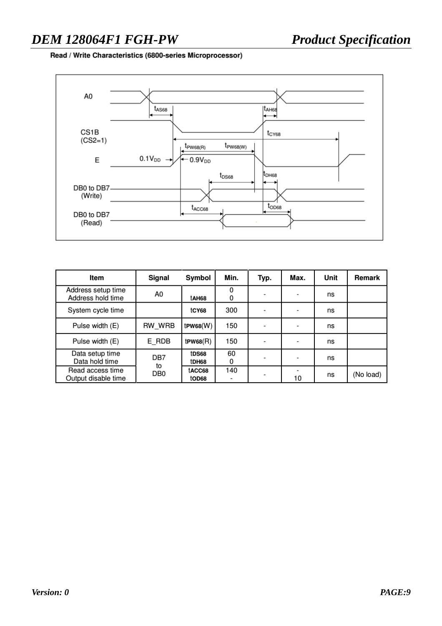## *DEM 128064F1 FGH-PW Product Specification*

Read / Write Characteristics (6800-series Microprocessor)



| Item                                    | Signal          | Symbol          | Min.          | Typ. | Max.                     | Unit | Remark    |
|-----------------------------------------|-----------------|-----------------|---------------|------|--------------------------|------|-----------|
| Address setup time<br>Address hold time | A0              | tAH68           | $\Omega$<br>0 |      | $\overline{\phantom{0}}$ | ns   |           |
| System cycle time                       |                 | tCY68           | 300           |      | $\overline{\phantom{a}}$ | ns   |           |
| Pulse width (E)                         | RW WRB          | $t$ PW68 $(W)$  | 150           |      | -                        | ns   |           |
| Pulse width (E)                         | E RDB           | $t$ PW68 $(R)$  | 150           |      | -                        | ns   |           |
| Data setup time<br>Data hold time       | DB7<br>to       | tDS68<br>tDH68  | 60<br>0       |      | ۰                        | ns   |           |
| Read access time<br>Output disable time | DB <sub>0</sub> | tACC68<br>tOD68 | 140<br>-      |      | 10                       | ns   | (No load) |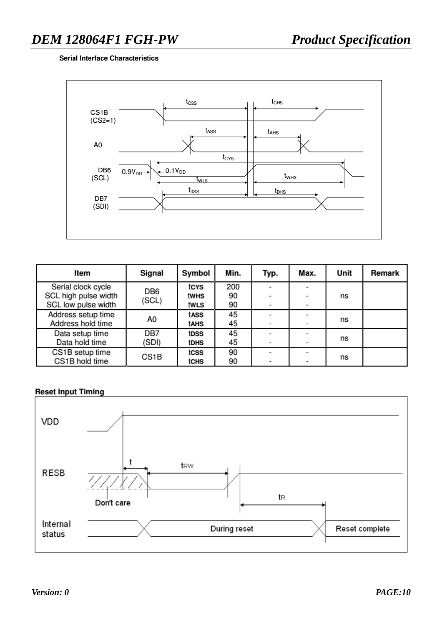#### **Serial Interface Characteristics**



| Item                                        | Signal            | Symbol       | Min.     | Typ. | Max. | Unit | Remark |
|---------------------------------------------|-------------------|--------------|----------|------|------|------|--------|
| Serial clock cycle                          | DB <sub>6</sub>   | tcys         | 200      |      |      |      |        |
| SCL high pulse width<br>SCL low pulse width | (SCL)             | twhs<br>twls | 90<br>90 |      |      | ns   |        |
| Address setup time                          | A0                | tASS         | 45       |      |      |      |        |
| Address hold time                           |                   | tahs         | 45       |      |      | ns   |        |
| Data setup time                             | DB7               | tDSS         | 45       |      |      |      |        |
| Data hold time                              | (SDI)             | <b>tDHS</b>  | 45       |      |      | ns   |        |
| CS1B setup time                             | CS <sub>1</sub> B | tcss         | 90       |      |      |      |        |
| CS1B hold time                              |                   | tCHS         | 90       |      |      | ns   |        |

#### **Reset Input Timing**

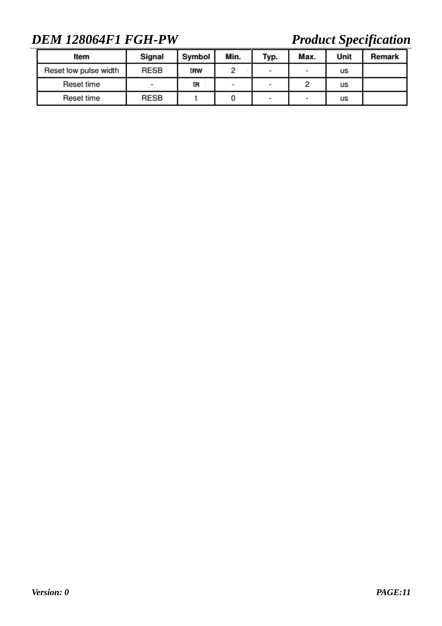## *DEM 128064F1 FGH-PW Product Specification*

| Item                  | Signal                   | Symbol          | Min. | Typ.                     | Max. | Unit | Remark |
|-----------------------|--------------------------|-----------------|------|--------------------------|------|------|--------|
| Reset low pulse width | <b>RESB</b>              | t <sub>RW</sub> |      | $\overline{\phantom{a}}$ | -    | us   |        |
| Reset time            | $\overline{\phantom{a}}$ | tR              | -    | $\overline{\phantom{a}}$ |      | us   |        |
| Reset time            | <b>RESB</b>              |                 |      | $\overline{\phantom{a}}$ | ٠    | us   |        |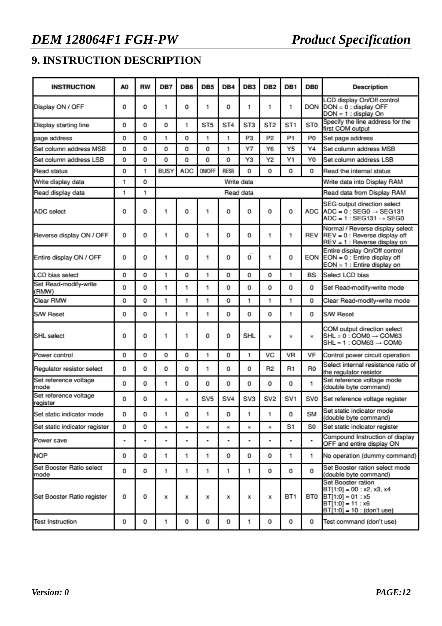## **9. INSTRUCTION DESCRIPTION**

| <b>INSTRUCTION</b>                | A <sub>0</sub> | <b>RW</b> | DB7         | DB <sub>6</sub> | DB <sub>5</sub> | DB <sub>4</sub> | DB <sub>3</sub> | DB <sub>2</sub> | DB <sub>1</sub> | DB <sub>0</sub> | <b>Description</b>                                                                                                            |  |
|-----------------------------------|----------------|-----------|-------------|-----------------|-----------------|-----------------|-----------------|-----------------|-----------------|-----------------|-------------------------------------------------------------------------------------------------------------------------------|--|
| Display ON / OFF                  | 0              | 0         | 1           | 0               | 1               | 0               | 1               | 1               | 1               | <b>DON</b>      | CD display On/Off control<br>$DOM = 0$ : display OFF<br>$DOM = 1$ : display On                                                |  |
| Display starting line             | 0              | 0         | 0           | 1               | ST <sub>5</sub> | ST <sub>4</sub> | ST <sub>3</sub> | ST <sub>2</sub> | ST <sub>1</sub> | ST <sub>0</sub> | Specify the line address for the<br>first COM output                                                                          |  |
| page address                      | 0              | 0         | 1           | 0               | 1               | 1               | P3              | P <sub>2</sub>  | P <sub>1</sub>  | P <sub>0</sub>  | Set page address                                                                                                              |  |
| Set column address MSB            | 0              | 0         | 0           | 0               | 0               | 1               | Υ7              | Y6              | Y5              | Y4              | Set column address MSB                                                                                                        |  |
| Set column address LSB            | 0              | 0         | 0           | 0               | 0               | 0               | Y3              | Y2              | Y1              | Y0              | Set column address LSB                                                                                                        |  |
| Read status                       | 0              | 1         | <b>BUSY</b> | <b>ADC</b>      | ON/OFF          | <b>RESB</b>     | 0               | 0               | 0               | 0               | Read the internal status                                                                                                      |  |
| Write display data                | 1              | 0         |             |                 |                 |                 | Write data      |                 |                 |                 | Write data into Display RAM                                                                                                   |  |
| Read display data                 | 1              | 1         |             |                 |                 |                 | Read data       |                 |                 |                 | Read data from Display RAM                                                                                                    |  |
| ADC select                        | 0              | 0         | 1           | 0               | 1               | 0               | 0               | 0               | 0               | ADC             | SEG output direction select<br>$ADC = 0$ : SEG0 $\rightarrow$ SEG131<br>$ADC = 1 : SFG131 \rightarrow SFG0$                   |  |
| Reverse display ON / OFF          | 0              | 0         | 1           | 0               | 1               | 0               | 0               | 1               | 1               | REV             | Normal / Reverse display select<br>REV = 0 : Reverse display off<br>REV = 1 : Reverse display on                              |  |
| Entire display ON / OFF           | 0              | 0         | 1           | 0               | 1               | 0               | 0               | 1               | 0               | <b>FON</b>      | Entire display On/Off control<br>$EON = 0$ : Entire display off<br>EON = 1 : Entire display on                                |  |
| LCD bias select                   | 0              | 0         | 1           | 0               | 1               | 0               | 0               | 0               | 1               | <b>BS</b>       | Select LCD bias                                                                                                               |  |
| Set Read-modify-write<br>(RMW)    | 0              | 0         | 1           | 1               | 1               | 0               | 0               | 0               | 0               | 0               | Set Read-modify-write mode                                                                                                    |  |
| Clear RMW                         | 0              | 0         | 1           | 1               | 1               | 0               | 1               | 1               | 1               | 0               | Clear Read-modify-write mode                                                                                                  |  |
| <b>S/W Reset</b>                  | 0              | 0         | 1           | 1               | 1               | 0               | 0               | 0               | 1               | 0               | S/W Reset                                                                                                                     |  |
| SHL select                        | 0              | 0         | 1           | 1               | 0               | 0               | <b>SHL</b>      | $\pmb{\times}$  | ×               | ×               | COM output direction select<br>$SHL = 0$ : COM0 $\rightarrow$ COM63<br>$SHL = 1 : COM63 \rightarrow COM0$                     |  |
| Power control                     | 0              | 0         | 0           | 0               | 1               | 0               | 1               | VC              | <b>VR</b>       | VF              | Control power circuit operation                                                                                               |  |
| Regulator resistor select         | 0              | 0         | 0           | 0               | 1               | 0               | 0               | R <sub>2</sub>  | R1              | R <sub>0</sub>  | Select internal resistance ratio of<br>the regulator resistor                                                                 |  |
| Set reference voltage<br>mode     | 0              | 0         | 1           | 0               | 0               | 0               | 0               | 0               | 0               | 1               | Set reference voltage mode<br>(double byte command)                                                                           |  |
| Set reference voltage<br>register | 0              | 0         | ×           | ×               | SV <sub>5</sub> | SV <sub>4</sub> | SV3             | SV <sub>2</sub> | SV <sub>1</sub> | SVO             | Set reference voltage register                                                                                                |  |
| Set static indicator mode         | 0              | 0         | 1           | 0               | 1               | 0               | 1               | 1               | 0               | <b>SM</b>       | Set static indicator mode<br>(double byte command)                                                                            |  |
| Set static indicator register     | 0              | 0         | ×           | ×               | ×               | ×               | ×               | ×               | S1              | S0              | Set static indicator register                                                                                                 |  |
| Power save                        | ۰              | ٠         | ٠           | ٠               | ٠               | ٠               | ٠               | ٠               | ۰               |                 | Compound Instruction of display<br>OFF and entire display ON                                                                  |  |
| <b>NOP</b>                        | 0              | 0         | 1           | 1               | 1               | 0               | 0               | 0               | 1               | 1               | No operation (dummy command)                                                                                                  |  |
| Set Booster Ratio select<br>mode  | 0              | 0         | 1           | 1               | 1               | 1               | 1               | 0               | 0               | 0               | Set Booster ration select mode<br>(double byte command)                                                                       |  |
| Set Booster Ratio register        | 0              | 0         | х           | х               | х               | x               | х               | x               | BT <sub>1</sub> | BT0             | Set Booster ration<br>$BT[1:0] = 00 : x2, x3, x4$<br>$BT[1:0] = 01 : x5$<br>$BT[1:0] = 11 : x6$<br>BT[1:0] = 10 : (don't use) |  |
| <b>Test Instruction</b>           | 0              | 0         | 1           | 0               | 0               | 0               | 1               | 0               | 0               | 0               | Test command (don't use)                                                                                                      |  |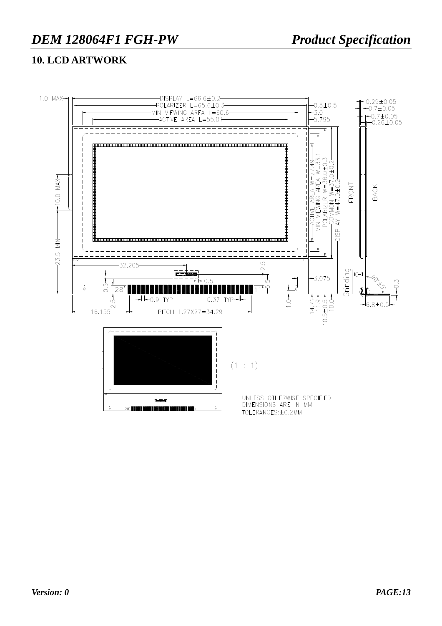### **10. LCD ARTWORK**

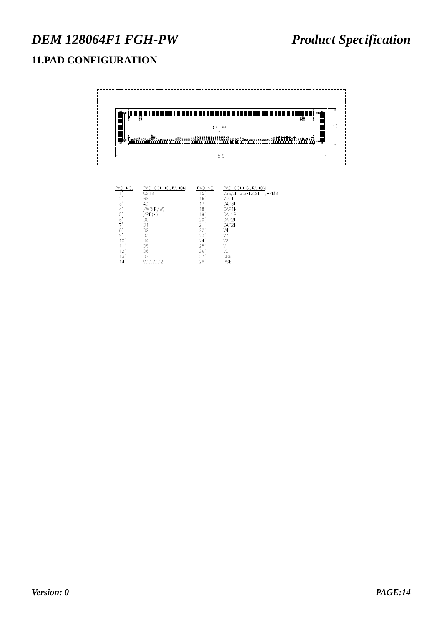## **11.PAD CONFIGURATION**

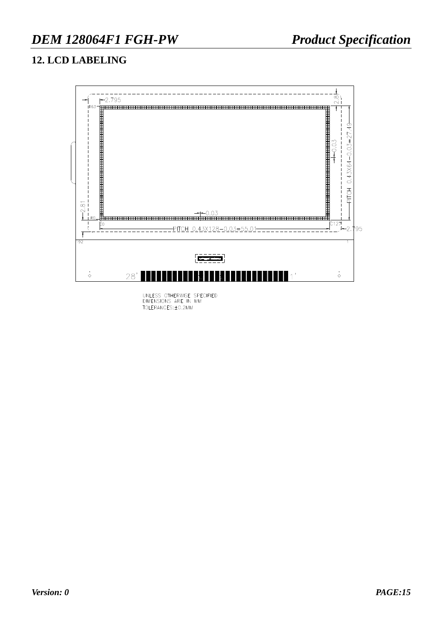## **12. LCD LABELING**



UNLESS OTHERWISE SPECIFIED<br>DIMENSIONS ARE IN MM<br>TOLERANCES:±0.2MM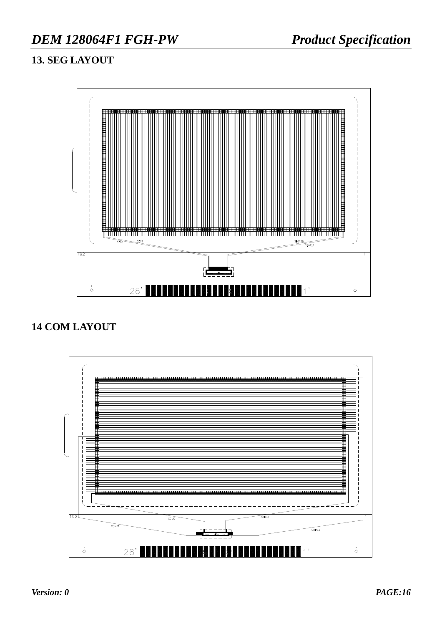## **13. SEG LAYOUT**



## **14 COM LAYOUT**

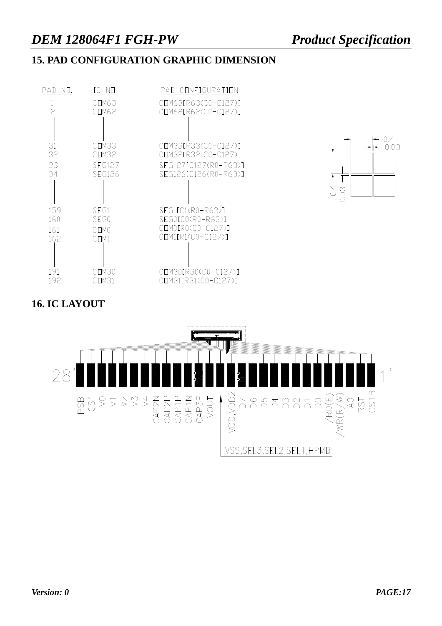## **15. PAD CONFIGURATION GRAPHIC DIMENSION**





## **16. IC LAYOUT**

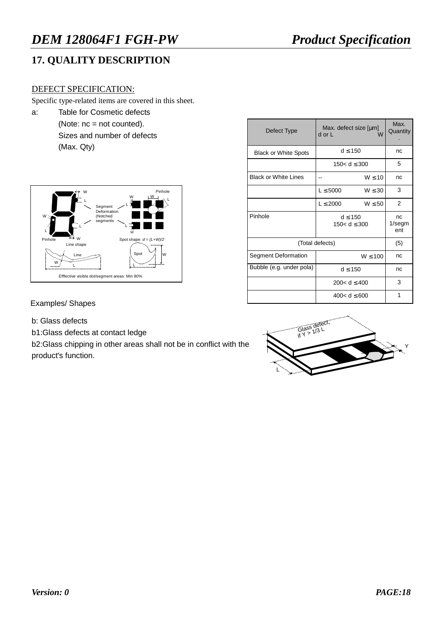## **17. QUALITY DESCRIPTION**

#### DEFECT SPECIFICATION:

Specific type-related items are covered in this sheet.

a: Table for Cosmetic defects (Note: nc = not counted). Sizes and number of defects (Max. Qty)



| Defect Type                 | Max. defect size [µm]<br>d or L  | Max.<br>Quantity       |    |
|-----------------------------|----------------------------------|------------------------|----|
| <b>Black or White Spots</b> | $d \leq 150$                     | nc                     |    |
|                             | 150< $d \leq 300$                | 5                      |    |
| <b>Black or White Lines</b> |                                  | $W \leq 10$            | nc |
|                             | $L \leq 5000$                    | $W \leq 30$            | 3  |
|                             | $L \leq 2000$                    | $W \le 50$             | 2  |
| Pinhole                     | $d \leq 150$<br>150< $d \le 300$ | nc<br>$1$ /segm<br>ent |    |
|                             | (Total defects)                  | (5)                    |    |
| Segment Deformation         |                                  | nc                     |    |
| Bubble (e.g. under pola)    | $d \leq 150$                     | nc                     |    |
|                             | 200< $d \le 400$                 | 3                      |    |
|                             | 400< $d \leq 600$                | 1                      |    |

Examples/ Shapes

- b: Glass defects
- b1:Glass defects at contact ledge

b2:Glass chipping in other areas shall not be in conflict with the product's function.

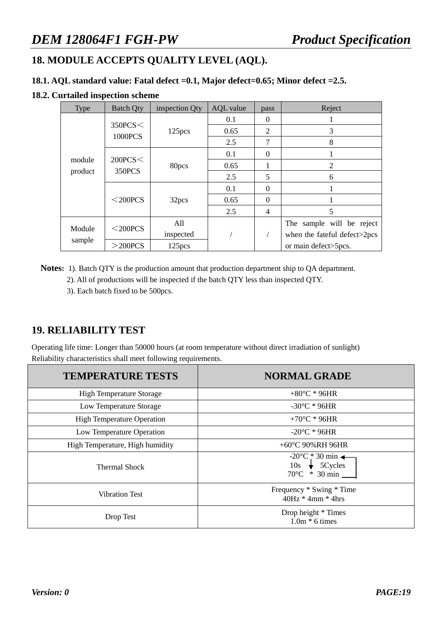## **18. MODULE ACCEPTS QUALITY LEVEL (AQL).**

#### **18.1. AQL standard value: Fatal defect =0.1, Major defect=0.65; Minor defect =2.5.**

#### **18.2. Curtailed inspection scheme**

| <b>Type</b>       | <b>Batch Qty</b>   | inspection Qty     | <b>AQL</b> value | pass           | Reject                       |
|-------------------|--------------------|--------------------|------------------|----------------|------------------------------|
| module<br>product |                    |                    | 0.1              | $\theta$       |                              |
|                   | 350PCS<<br>1000PCS | 125pcs             | 0.65             | $\overline{2}$ | 3                            |
|                   |                    |                    | 2.5              | 7              | 8                            |
|                   | 200PCS<<br>350PCS  |                    | 0.1              | $\theta$       |                              |
|                   |                    | 80pcs              | 0.65             | 1              | $\mathfrak{2}$               |
|                   |                    |                    | 2.5              | 5              | 6                            |
|                   | $<$ 200PCS         | 32pcs              | 0.1              | $\theta$       |                              |
|                   |                    |                    | 0.65             | $\theta$       |                              |
|                   |                    |                    | 2.5              | 4              | 5                            |
| Module<br>sample  |                    | All                |                  |                | The sample will be reject    |
|                   | $<$ 200PCS         | inspected          |                  |                | when the fateful defect>2pcs |
|                   | $>$ 200PCS         | 125 <sub>pcs</sub> |                  |                | or main defect>5pcs.         |

**Notes:** 1). Batch QTY is the production amount that production department ship to QA department.

2). All of productions will be inspected if the batch QTY less than inspected QTY.

3). Each batch fixed to be 500pcs.

### **19. RELIABILITY TEST**

Operating life time: Longer than 50000 hours (at room temperature without direct irradiation of sunlight) Reliability characteristics shall meet following requirements.

| <b>TEMPERATURE TESTS</b>          | <b>NORMAL GRADE</b>                                                                           |  |  |  |  |
|-----------------------------------|-----------------------------------------------------------------------------------------------|--|--|--|--|
| <b>High Temperature Storage</b>   | $+80^{\circ}$ C * 96HR                                                                        |  |  |  |  |
| Low Temperature Storage           | $-30^{\circ}$ C * 96HR                                                                        |  |  |  |  |
| <b>High Temperature Operation</b> | +70 $^{\circ}$ C * 96HR                                                                       |  |  |  |  |
| Low Temperature Operation         | $-20^{\circ}$ C * 96HR                                                                        |  |  |  |  |
| High Temperature, High humidity   | +60 $^{\circ}$ C 90%RH 96HR                                                                   |  |  |  |  |
| <b>Thermal Shock</b>              | $-20^{\circ}$ C * 30 min $\leftarrow$<br>$10s \rightarrow 5Cycles$<br>$70^{\circ}$ C * 30 min |  |  |  |  |
| <b>Vibration Test</b>             | Frequency * Swing * Time<br>$40Hz * 4mm * 4hrs$                                               |  |  |  |  |
| Drop Test                         | Drop height * Times<br>$1.0m * 6$ times                                                       |  |  |  |  |